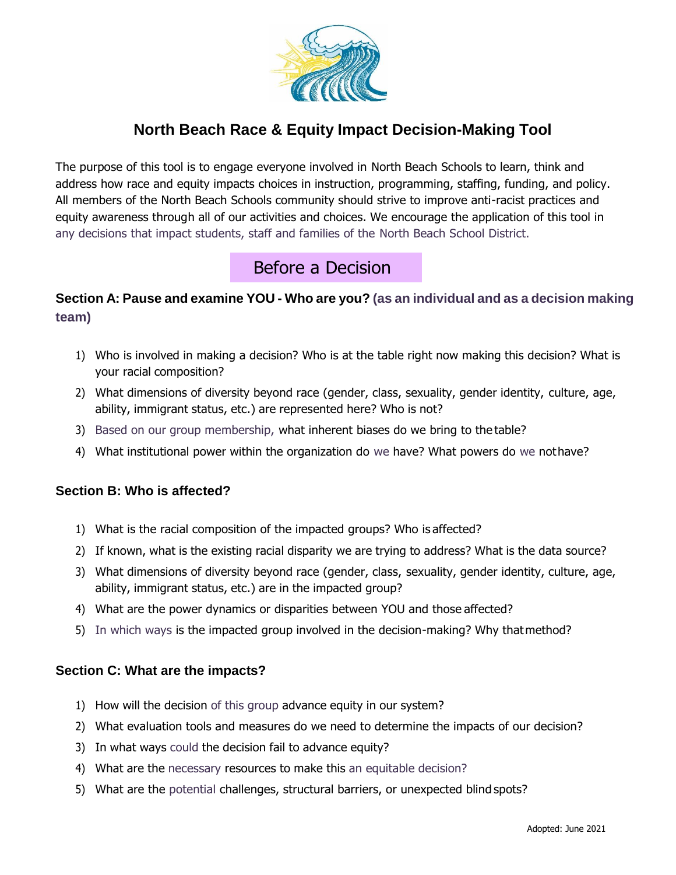

## **North Beach Race & Equity Impact Decision-Making Tool**

The purpose of this tool is to engage everyone involved in North Beach Schools to learn, think and address how race and equity impacts choices in instruction, programming, staffing, funding, and policy. All members of the North Beach Schools community should strive to improve anti-racist practices and equity awareness through all of our activities and choices. We encourage the application of this tool in any decisions that impact students, staff and families of the North Beach School District.

# Before a Decision

### **Section A: Pause and examine YOU - Who are you? (as an individual and as a decision making team)**

- 1) Who is involved in making a decision? Who is at the table right now making this decision? What is your racial composition?
- 2) What dimensions of diversity beyond race (gender, class, sexuality, gender identity, culture, age, ability, immigrant status, etc.) are represented here? Who is not?
- 3) Based on our group membership, what inherent biases do we bring to the table?
- 4) What institutional power within the organization do we have? What powers do we nothave?

### **Section B: Who is affected?**

- 1) What is the racial composition of the impacted groups? Who is affected?
- 2) If known, what is the existing racial disparity we are trying to address? What is the data source?
- 3) What dimensions of diversity beyond race (gender, class, sexuality, gender identity, culture, age, ability, immigrant status, etc.) are in the impacted group?
- 4) What are the power dynamics or disparities between YOU and those affected?
- 5) In which ways is the impacted group involved in the decision-making? Why thatmethod?

### **Section C: What are the impacts?**

- 1) How will the decision of this group advance equity in our system?
- 2) What evaluation tools and measures do we need to determine the impacts of our decision?
- 3) In what ways could the decision fail to advance equity?
- 4) What are the necessary resources to make this an equitable decision?
- 5) What are the potential challenges, structural barriers, or unexpected blind spots?